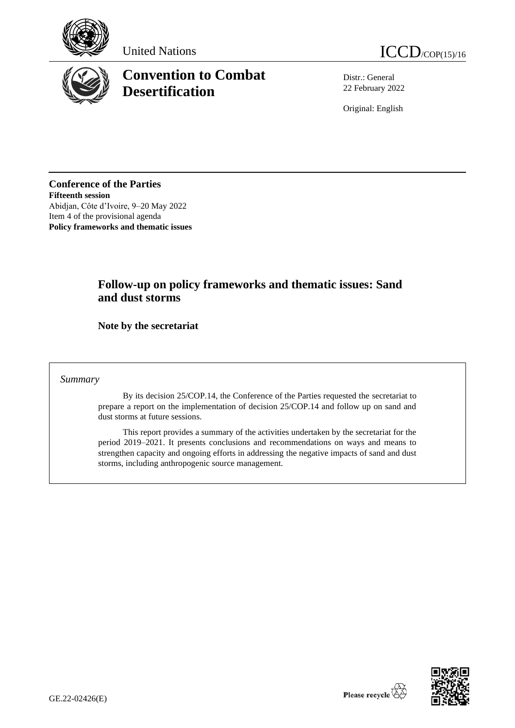





# **Convention to Combat Desertification**

Distr.: General 22 February 2022

Original: English

**Conference of the Parties Fifteenth session** Abidjan, Côte d'Ivoire, 9–20 May 2022 Item 4 of the provisional agenda **Policy frameworks and thematic issues**

# **Follow-up on policy frameworks and thematic issues: Sand and dust storms**

**Note by the secretariat** 

*Summary*

By its decision 25/COP.14, the Conference of the Parties requested the secretariat to prepare a report on the implementation of decision 25/COP.14 and follow up on sand and dust storms at future sessions.

This report provides a summary of the activities undertaken by the secretariat for the period 2019–2021. It presents conclusions and recommendations on ways and means to strengthen capacity and ongoing efforts in addressing the negative impacts of sand and dust storms, including anthropogenic source management.

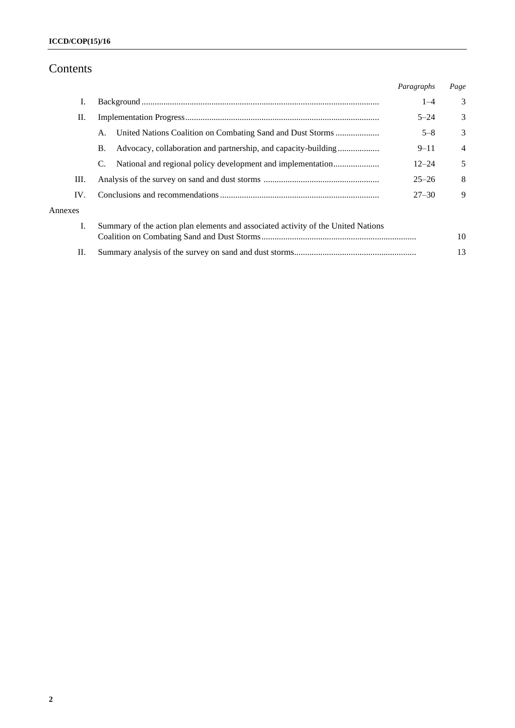# Contents

|         |                                                                                   | Paragraphs | Page           |
|---------|-----------------------------------------------------------------------------------|------------|----------------|
| Ι.      |                                                                                   | $1 - 4$    | 3              |
| П.      |                                                                                   | $5 - 24$   | 3              |
|         | A.                                                                                | $5 - 8$    | 3              |
|         | Advocacy, collaboration and partnership, and capacity-building<br>Β.              | $9 - 11$   | $\overline{4}$ |
|         | C.                                                                                | $12 - 24$  | 5              |
| III.    |                                                                                   | $25 - 26$  | 8              |
| IV.     |                                                                                   | $27 - 30$  | 9              |
| Annexes |                                                                                   |            |                |
| Ι.      | Summary of the action plan elements and associated activity of the United Nations |            |                |
|         |                                                                                   |            | 10             |
| П.      |                                                                                   |            | 13             |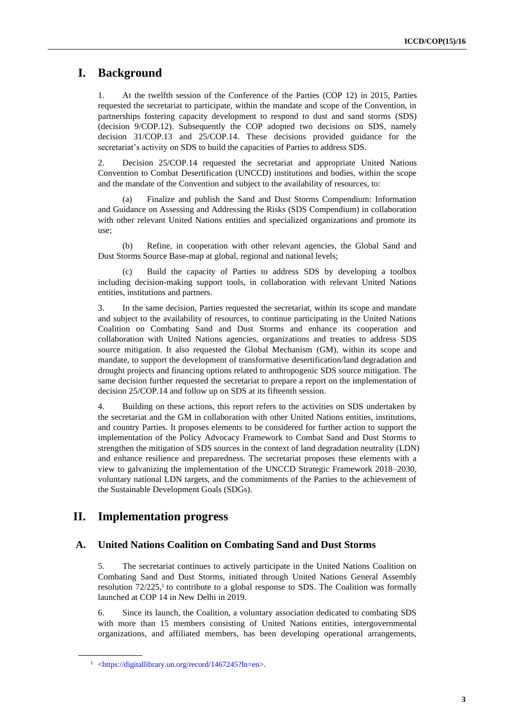# **I. Background**

1. At the twelfth session of the Conference of the Parties (COP 12) in 2015, Parties requested the secretariat to participate, within the mandate and scope of the Convention, in partnerships fostering capacity development to respond to dust and sand storms (SDS) (decision 9/COP.12). Subsequently the COP adopted two decisions on SDS, namely decision 31/COP.13 and 25/COP.14. These decisions provided guidance for the secretariat's activity on SDS to build the capacities of Parties to address SDS.

2. Decision 25/COP.14 requested the secretariat and appropriate United Nations Convention to Combat Desertification (UNCCD) institutions and bodies, within the scope and the mandate of the Convention and subject to the availability of resources, to:

(a) Finalize and publish the Sand and Dust Storms Compendium: Information and Guidance on Assessing and Addressing the Risks (SDS Compendium) in collaboration with other relevant United Nations entities and specialized organizations and promote its use;

(b) Refine, in cooperation with other relevant agencies, the Global Sand and Dust Storms Source Base-map at global, regional and national levels;

(c) Build the capacity of Parties to address SDS by developing a toolbox including decision-making support tools, in collaboration with relevant United Nations entities, institutions and partners.

3. In the same decision, Parties requested the secretariat, within its scope and mandate and subject to the availability of resources, to continue participating in the United Nations Coalition on Combating Sand and Dust Storms and enhance its cooperation and collaboration with United Nations agencies, organizations and treaties to address SDS source mitigation. It also requested the Global Mechanism (GM), within its scope and mandate, to support the development of transformative desertification/land degradation and drought projects and financing options related to anthropogenic SDS source mitigation. The same decision further requested the secretariat to prepare a report on the implementation of decision 25/COP.14 and follow up on SDS at its fifteenth session.

4. Building on these actions, this report refers to the activities on SDS undertaken by the secretariat and the GM in collaboration with other United Nations entities, institutions, and country Parties. It proposes elements to be considered for further action to support the implementation of the Policy Advocacy Framework to Combat Sand and Dust Storms to strengthen the mitigation of SDS sources in the context of land degradation neutrality (LDN) and enhance resilience and preparedness. The secretariat proposes these elements with a view to galvanizing the implementation of the UNCCD Strategic Framework 2018–2030, voluntary national LDN targets, and the commitments of the Parties to the achievement of the Sustainable Development Goals (SDGs).

# **II. Implementation progress**

## **A. United Nations Coalition on Combating Sand and Dust Storms**

5. The secretariat continues to actively participate in the United Nations Coalition on Combating Sand and Dust Storms, initiated through United Nations General Assembly resolution  $72/225$ ,<sup>1</sup> to contribute to a global response to SDS. The Coalition was formally launched at COP 14 in New Delhi in 2019.

6. Since its launch, the Coalition, a voluntary association dedicated to combating SDS with more than 15 members consisting of United Nations entities, intergovernmental organizations, and affiliated members, has been developing operational arrangements,

<sup>1</sup> [<https://digitallibrary.un.org/record/1467245?ln=en>](https://digitallibrary.un.org/record/1467245?ln=en).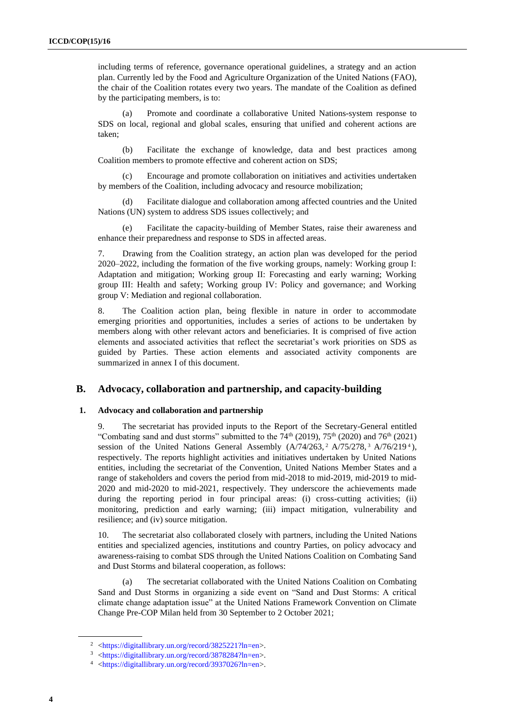including terms of reference, governance operational guidelines, a strategy and an action plan. Currently led by the Food and Agriculture Organization of the United Nations (FAO), the chair of the Coalition rotates every two years. The mandate of the Coalition as defined by the participating members, is to:

Promote and coordinate a collaborative United Nations-system response to SDS on local, regional and global scales, ensuring that unified and coherent actions are taken;

(b) Facilitate the exchange of knowledge, data and best practices among Coalition members to promote effective and coherent action on SDS;

(c) Encourage and promote collaboration on initiatives and activities undertaken by members of the Coalition, including advocacy and resource mobilization;

(d) Facilitate dialogue and collaboration among affected countries and the United Nations (UN) system to address SDS issues collectively; and

(e) Facilitate the capacity-building of Member States, raise their awareness and enhance their preparedness and response to SDS in affected areas.

7. Drawing from the Coalition strategy, an action plan was developed for the period 2020–2022, including the formation of the five working groups, namely: Working group I: Adaptation and mitigation; Working group II: Forecasting and early warning; Working group III: Health and safety; Working group IV: Policy and governance; and Working group V: Mediation and regional collaboration.

8. The Coalition action plan, being flexible in nature in order to accommodate emerging priorities and opportunities, includes a series of actions to be undertaken by members along with other relevant actors and beneficiaries. It is comprised of five action elements and associated activities that reflect the secretariat's work priorities on SDS as guided by Parties. These action elements and associated activity components are summarized in annex I of this document.

### **B. Advocacy, collaboration and partnership, and capacity-building**

#### **1. Advocacy and collaboration and partnership**

9. The secretariat has provided inputs to the Report of the Secretary-General entitled "Combating sand and dust storms" submitted to the  $74<sup>th</sup>$  (2019),  $75<sup>th</sup>$  (2020) and  $76<sup>th</sup>$  (2021) session of the United Nations General Assembly  $(A/74/263, ^2A/75/278, ^3A/76/219^4)$ , respectively. The reports highlight activities and initiatives undertaken by United Nations entities, including the secretariat of the Convention, United Nations Member States and a range of stakeholders and covers the period from mid-2018 to mid-2019, mid-2019 to mid-2020 and mid-2020 to mid-2021, respectively. They underscore the achievements made during the reporting period in four principal areas: (i) cross-cutting activities; (ii) monitoring, prediction and early warning; (iii) impact mitigation, vulnerability and resilience; and (iv) source mitigation.

10. The secretariat also collaborated closely with partners, including the United Nations entities and specialized agencies, institutions and country Parties, on policy advocacy and awareness-raising to combat SDS through the United Nations Coalition on Combating Sand and Dust Storms and bilateral cooperation, as follows:

(a) The secretariat collaborated with the United Nations Coalition on Combating Sand and Dust Storms in organizing a side event on "Sand and Dust Storms: A critical climate change adaptation issue" at the United Nations Framework Convention on Climate Change Pre-COP Milan held from 30 September to 2 October 2021;

<sup>2</sup> [<https://digitallibrary.un.org/record/3825221?ln=en>](https://digitallibrary.un.org/record/3825221?ln=en).

<sup>3</sup> [<https://digitallibrary.un.org/record/3878284?ln=en>](https://digitallibrary.un.org/record/3878284?ln=en).

<sup>4</sup> [<https://digitallibrary.un.org/record/3937026?ln=en>](https://digitallibrary.un.org/record/3937026?ln=en).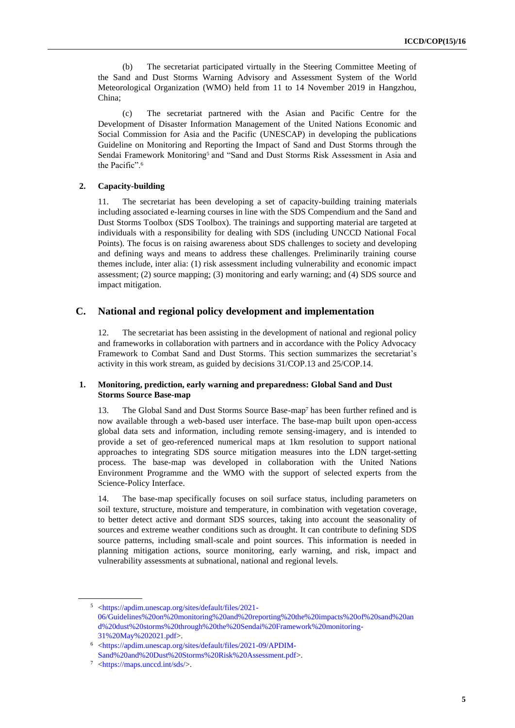(b) The secretariat participated virtually in the Steering Committee Meeting of the Sand and Dust Storms Warning Advisory and Assessment System of the World Meteorological Organization (WMO) held from 11 to 14 November 2019 in Hangzhou, China;

The secretariat partnered with the Asian and Pacific Centre for the Development of Disaster Information Management of the United Nations Economic and Social Commission for Asia and the Pacific (UNESCAP) in developing the publications Guideline on Monitoring and Reporting the Impact of Sand and Dust Storms through the Sendai Framework Monitoring<sup>5</sup> and "Sand and Dust Storms Risk Assessment in Asia and the Pacific".<sup>6</sup>

#### **2. Capacity-building**

11. The secretariat has been developing a set of capacity-building training materials including associated e-learning courses in line with the SDS Compendium and the Sand and Dust Storms Toolbox (SDS Toolbox). The trainings and supporting material are targeted at individuals with a responsibility for dealing with SDS (including UNCCD National Focal Points). The focus is on raising awareness about SDS challenges to society and developing and defining ways and means to address these challenges. Preliminarily training course themes include, inter alia: (1) risk assessment including vulnerability and economic impact assessment; (2) source mapping; (3) monitoring and early warning; and (4) SDS source and impact mitigation.

## **C. National and regional policy development and implementation**

12. The secretariat has been assisting in the development of national and regional policy and frameworks in collaboration with partners and in accordance with the Policy Advocacy Framework to Combat Sand and Dust Storms. This section summarizes the secretariat's activity in this work stream, as guided by decisions 31/COP.13 and 25/COP.14.

#### **1. Monitoring, prediction, early warning and preparedness: Global Sand and Dust Storms Source Base-map**

13. The Global Sand and Dust Storms Source Base-map<sup>7</sup> has been further refined and is now available through a web-based user interface. The base-map built upon open-access global data sets and information, including remote sensing-imagery, and is intended to provide a set of geo-referenced numerical maps at 1km resolution to support national approaches to integrating SDS source mitigation measures into the LDN target-setting process. The base-map was developed in collaboration with the United Nations Environment Programme and the WMO with the support of selected experts from the Science-Policy Interface.

14. The base-map specifically focuses on soil surface status, including parameters on soil texture, structure, moisture and temperature, in combination with vegetation coverage, to better detect active and dormant SDS sources, taking into account the seasonality of sources and extreme weather conditions such as drought. It can contribute to defining SDS source patterns, including small-scale and point sources. This information is needed in planning mitigation actions, source monitoring, early warning, and risk, impact and vulnerability assessments at subnational, national and regional levels.

<sup>5</sup> [<https://apdim.unescap.org/sites/default/files/2021-](https://apdim.unescap.org/sites/default/files/2021-06/Guidelines%20on%20monitoring%20and%20reporting%20the%20impacts%20of%20sand%20and%20dust%20storms%20through%20the%20Sendai%20Framework%20monitoring-31%20May%202021.pdf) [06/Guidelines%20on%20monitoring%20and%20reporting%20the%20impacts%20of%20sand%20an](https://apdim.unescap.org/sites/default/files/2021-06/Guidelines%20on%20monitoring%20and%20reporting%20the%20impacts%20of%20sand%20and%20dust%20storms%20through%20the%20Sendai%20Framework%20monitoring-31%20May%202021.pdf) [d%20dust%20storms%20through%20the%20Sendai%20Framework%20monitoring-](https://apdim.unescap.org/sites/default/files/2021-06/Guidelines%20on%20monitoring%20and%20reporting%20the%20impacts%20of%20sand%20and%20dust%20storms%20through%20the%20Sendai%20Framework%20monitoring-31%20May%202021.pdf)[31%20May%202021.pdf>](https://apdim.unescap.org/sites/default/files/2021-06/Guidelines%20on%20monitoring%20and%20reporting%20the%20impacts%20of%20sand%20and%20dust%20storms%20through%20the%20Sendai%20Framework%20monitoring-31%20May%202021.pdf).

<sup>6</sup> [<https://apdim.unescap.org/sites/default/files/2021-09/APDIM-](https://apdim.unescap.org/sites/default/files/2021-09/APDIM-Sand%20and%20Dust%20Storms%20Risk%20Assessment.pdf)[Sand%20and%20Dust%20Storms%20Risk%20Assessment.pdf>](https://apdim.unescap.org/sites/default/files/2021-09/APDIM-Sand%20and%20Dust%20Storms%20Risk%20Assessment.pdf).

<sup>7</sup> [<https://maps.unccd.int/sds/>](https://maps.unccd.int/sds/).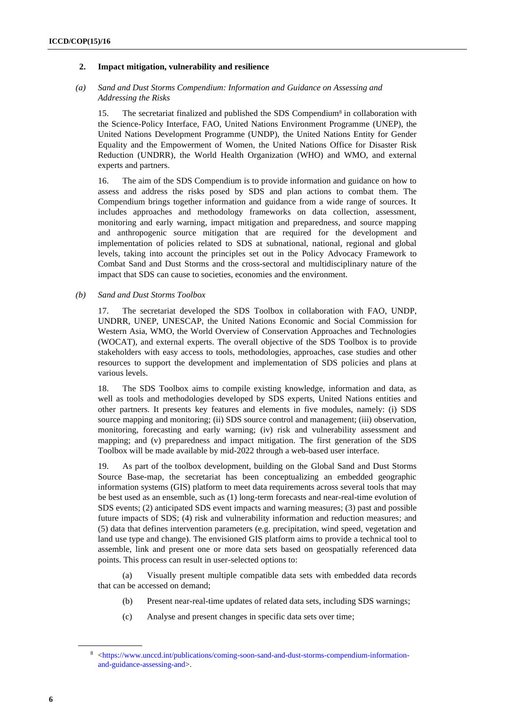#### **2. Impact mitigation, vulnerability and resilience**

#### *(a) Sand and Dust Storms Compendium: Information and Guidance on Assessing and Addressing the Risks*

15. The secretariat finalized and published the SDS Compendium<sup>8</sup> in collaboration with the Science-Policy Interface, FAO, United Nations Environment Programme (UNEP), the United Nations Development Programme (UNDP), the United Nations Entity for Gender Equality and the Empowerment of Women, the United Nations Office for Disaster Risk Reduction (UNDRR), the World Health Organization (WHO) and WMO, and external experts and partners.

16. The aim of the SDS Compendium is to provide information and guidance on how to assess and address the risks posed by SDS and plan actions to combat them. The Compendium brings together information and guidance from a wide range of sources. It includes approaches and methodology frameworks on data collection, assessment, monitoring and early warning, impact mitigation and preparedness, and source mapping and anthropogenic source mitigation that are required for the development and implementation of policies related to SDS at subnational, national, regional and global levels, taking into account the principles set out in the Policy Advocacy Framework to Combat Sand and Dust Storms and the cross-sectoral and multidisciplinary nature of the impact that SDS can cause to societies, economies and the environment.

#### *(b) Sand and Dust Storms Toolbox*

17. The secretariat developed the SDS Toolbox in collaboration with FAO, UNDP, UNDRR, UNEP, UNESCAP, the United Nations Economic and Social Commission for Western Asia, WMO, the World Overview of Conservation Approaches and Technologies (WOCAT), and external experts. The overall objective of the SDS Toolbox is to provide stakeholders with easy access to tools, methodologies, approaches, case studies and other resources to support the development and implementation of SDS policies and plans at various levels.

18. The SDS Toolbox aims to compile existing knowledge, information and data, as well as tools and methodologies developed by SDS experts, United Nations entities and other partners. It presents key features and elements in five modules, namely: (i) SDS source mapping and monitoring; (ii) SDS source control and management; (iii) observation, monitoring, forecasting and early warning; (iv) risk and vulnerability assessment and mapping; and (v) preparedness and impact mitigation. The first generation of the SDS Toolbox will be made available by mid-2022 through a web-based user interface.

19. As part of the toolbox development, building on the Global Sand and Dust Storms Source Base-map, the secretariat has been conceptualizing an embedded geographic information systems (GIS) platform to meet data requirements across several tools that may be best used as an ensemble, such as (1) long-term forecasts and near-real-time evolution of SDS events; (2) anticipated SDS event impacts and warning measures; (3) past and possible future impacts of SDS; (4) risk and vulnerability information and reduction measures; and (5) data that defines intervention parameters (e.g. precipitation, wind speed, vegetation and land use type and change). The envisioned GIS platform aims to provide a technical tool to assemble, link and present one or more data sets based on geospatially referenced data points. This process can result in user-selected options to:

(a) Visually present multiple compatible data sets with embedded data records that can be accessed on demand;

- (b) Present near-real-time updates of related data sets, including SDS warnings;
- (c) Analyse and present changes in specific data sets over time;

<sup>8</sup> [<https://www.unccd.int/publications/coming-soon-sand-and-dust-storms-compendium-information](https://www.unccd.int/publications/coming-soon-sand-and-dust-storms-compendium-information-and-guidance-assessing-and)[and-guidance-assessing-and>](https://www.unccd.int/publications/coming-soon-sand-and-dust-storms-compendium-information-and-guidance-assessing-and).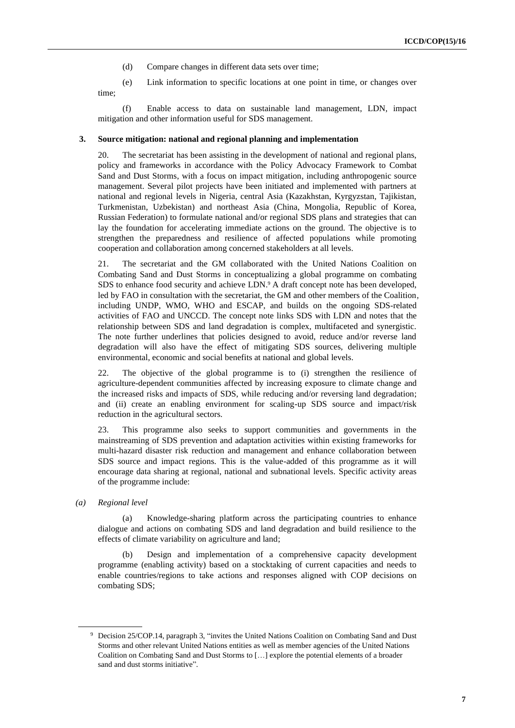- (d) Compare changes in different data sets over time;
- (e) Link information to specific locations at one point in time, or changes over

time;

(f) Enable access to data on sustainable land management, LDN, impact mitigation and other information useful for SDS management.

#### **3. Source mitigation: national and regional planning and implementation**

20. The secretariat has been assisting in the development of national and regional plans, policy and frameworks in accordance with the Policy Advocacy Framework to Combat Sand and Dust Storms, with a focus on impact mitigation, including anthropogenic source management. Several pilot projects have been initiated and implemented with partners at national and regional levels in Nigeria, central Asia (Kazakhstan, Kyrgyzstan, Tajikistan, Turkmenistan, Uzbekistan) and northeast Asia (China, Mongolia, Republic of Korea, Russian Federation) to formulate national and/or regional SDS plans and strategies that can lay the foundation for accelerating immediate actions on the ground. The objective is to strengthen the preparedness and resilience of affected populations while promoting cooperation and collaboration among concerned stakeholders at all levels.

21. The secretariat and the GM collaborated with the United Nations Coalition on Combating Sand and Dust Storms in conceptualizing a global programme on combating SDS to enhance food security and achieve LDN. <sup>9</sup> A draft concept note has been developed, led by FAO in consultation with the secretariat, the GM and other members of the Coalition, including UNDP, WMO, WHO and ESCAP, and builds on the ongoing SDS-related activities of FAO and UNCCD. The concept note links SDS with LDN and notes that the relationship between SDS and land degradation is complex, multifaceted and synergistic. The note further underlines that policies designed to avoid, reduce and/or reverse land degradation will also have the effect of mitigating SDS sources, delivering multiple environmental, economic and social benefits at national and global levels.

22. The objective of the global programme is to (i) strengthen the resilience of agriculture-dependent communities affected by increasing exposure to climate change and the increased risks and impacts of SDS, while reducing and/or reversing land degradation; and (ii) create an enabling environment for scaling-up SDS source and impact/risk reduction in the agricultural sectors.

23. This programme also seeks to support communities and governments in the mainstreaming of SDS prevention and adaptation activities within existing frameworks for multi-hazard disaster risk reduction and management and enhance collaboration between SDS source and impact regions. This is the value-added of this programme as it will encourage data sharing at regional, national and subnational levels. Specific activity areas of the programme include:

*(a) Regional level*

(a) Knowledge-sharing platform across the participating countries to enhance dialogue and actions on combating SDS and land degradation and build resilience to the effects of climate variability on agriculture and land;

(b) Design and implementation of a comprehensive capacity development programme (enabling activity) based on a stocktaking of current capacities and needs to enable countries/regions to take actions and responses aligned with COP decisions on combating SDS;

<sup>9</sup> Decision 25/COP.14, paragraph 3, "invites the United Nations Coalition on Combating Sand and Dust Storms and other relevant United Nations entities as well as member agencies of the United Nations Coalition on Combating Sand and Dust Storms to […] explore the potential elements of a broader sand and dust storms initiative".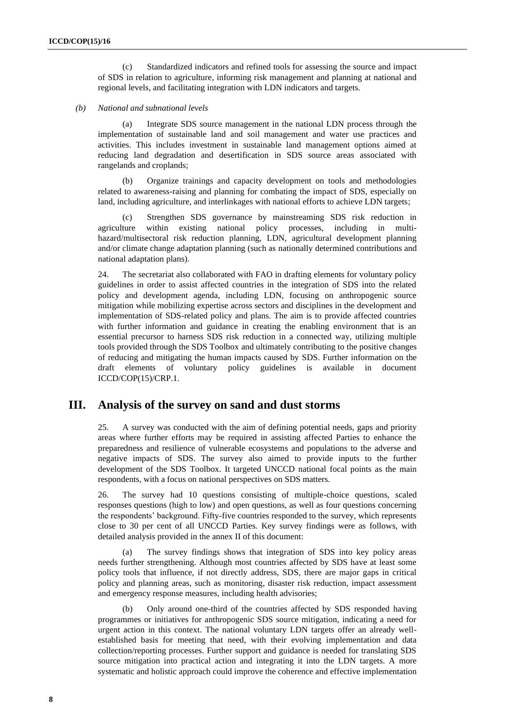(c) Standardized indicators and refined tools for assessing the source and impact of SDS in relation to agriculture, informing risk management and planning at national and regional levels, and facilitating integration with LDN indicators and targets.

#### *(b) National and subnational levels*

(a) Integrate SDS source management in the national LDN process through the implementation of sustainable land and soil management and water use practices and activities. This includes investment in sustainable land management options aimed at reducing land degradation and desertification in SDS source areas associated with rangelands and croplands;

(b) Organize trainings and capacity development on tools and methodologies related to awareness-raising and planning for combating the impact of SDS, especially on land, including agriculture, and interlinkages with national efforts to achieve LDN targets;

(c) Strengthen SDS governance by mainstreaming SDS risk reduction in agriculture within existing national policy processes, including in multihazard/multisectoral risk reduction planning, LDN, agricultural development planning and/or climate change adaptation planning (such as nationally determined contributions and national adaptation plans).

24. The secretariat also collaborated with FAO in drafting elements for voluntary policy guidelines in order to assist affected countries in the integration of SDS into the related policy and development agenda, including LDN, focusing on anthropogenic source mitigation while mobilizing expertise across sectors and disciplines in the development and implementation of SDS-related policy and plans. The aim is to provide affected countries with further information and guidance in creating the enabling environment that is an essential precursor to harness SDS risk reduction in a connected way, utilizing multiple tools provided through the SDS Toolbox and ultimately contributing to the positive changes of reducing and mitigating the human impacts caused by SDS. Further information on the draft elements of voluntary policy guidelines is available in document ICCD/COP(15)/CRP.1.

## **III. Analysis of the survey on sand and dust storms**

25. A survey was conducted with the aim of defining potential needs, gaps and priority areas where further efforts may be required in assisting affected Parties to enhance the preparedness and resilience of vulnerable ecosystems and populations to the adverse and negative impacts of SDS. The survey also aimed to provide inputs to the further development of the SDS Toolbox. It targeted UNCCD national focal points as the main respondents, with a focus on national perspectives on SDS matters.

26. The survey had 10 questions consisting of multiple-choice questions, scaled responses questions (high to low) and open questions, as well as four questions concerning the respondents' background. Fifty-five countries responded to the survey, which represents close to 30 per cent of all UNCCD Parties. Key survey findings were as follows, with detailed analysis provided in the annex II of this document:

(a) The survey findings shows that integration of SDS into key policy areas needs further strengthening. Although most countries affected by SDS have at least some policy tools that influence, if not directly address, SDS, there are major gaps in critical policy and planning areas, such as monitoring, disaster risk reduction, impact assessment and emergency response measures, including health advisories;

Only around one-third of the countries affected by SDS responded having programmes or initiatives for anthropogenic SDS source mitigation, indicating a need for urgent action in this context. The national voluntary LDN targets offer an already wellestablished basis for meeting that need, with their evolving implementation and data collection/reporting processes. Further support and guidance is needed for translating SDS source mitigation into practical action and integrating it into the LDN targets. A more systematic and holistic approach could improve the coherence and effective implementation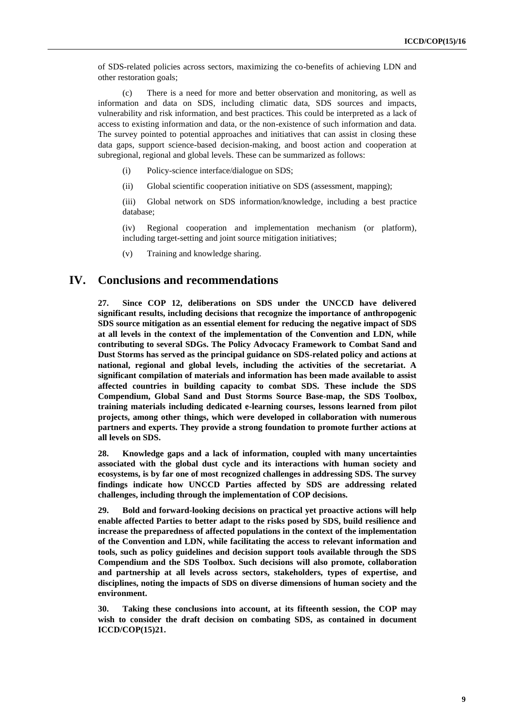of SDS-related policies across sectors, maximizing the co-benefits of achieving LDN and other restoration goals;

(c) There is a need for more and better observation and monitoring, as well as information and data on SDS, including climatic data, SDS sources and impacts, vulnerability and risk information, and best practices. This could be interpreted as a lack of access to existing information and data, or the non-existence of such information and data. The survey pointed to potential approaches and initiatives that can assist in closing these data gaps, support science-based decision-making, and boost action and cooperation at subregional, regional and global levels. These can be summarized as follows:

- (i) Policy-science interface/dialogue on SDS;
- (ii) Global scientific cooperation initiative on SDS (assessment, mapping);

(iii) Global network on SDS information/knowledge, including a best practice database;

(iv) Regional cooperation and implementation mechanism (or platform), including target-setting and joint source mitigation initiatives;

(v) Training and knowledge sharing.

## **IV. Conclusions and recommendations**

**27. Since COP 12, deliberations on SDS under the UNCCD have delivered significant results, including decisions that recognize the importance of anthropogenic SDS source mitigation as an essential element for reducing the negative impact of SDS at all levels in the context of the implementation of the Convention and LDN, while contributing to several SDGs. The Policy Advocacy Framework to Combat Sand and Dust Storms has served as the principal guidance on SDS-related policy and actions at national, regional and global levels, including the activities of the secretariat. A significant compilation of materials and information has been made available to assist affected countries in building capacity to combat SDS. These include the SDS Compendium, Global Sand and Dust Storms Source Base-map, the SDS Toolbox, training materials including dedicated e-learning courses, lessons learned from pilot projects, among other things, which were developed in collaboration with numerous partners and experts. They provide a strong foundation to promote further actions at all levels on SDS.**

**28. Knowledge gaps and a lack of information, coupled with many uncertainties associated with the global dust cycle and its interactions with human society and ecosystems, is by far one of most recognized challenges in addressing SDS. The survey findings indicate how UNCCD Parties affected by SDS are addressing related challenges, including through the implementation of COP decisions.** 

**29. Bold and forward-looking decisions on practical yet proactive actions will help enable affected Parties to better adapt to the risks posed by SDS, build resilience and increase the preparedness of affected populations in the context of the implementation of the Convention and LDN, while facilitating the access to relevant information and tools, such as policy guidelines and decision support tools available through the SDS Compendium and the SDS Toolbox. Such decisions will also promote, collaboration and partnership at all levels across sectors, stakeholders, types of expertise, and disciplines, noting the impacts of SDS on diverse dimensions of human society and the environment.**

**30. Taking these conclusions into account, at its fifteenth session, the COP may wish to consider the draft decision on combating SDS, as contained in document ICCD/COP(15)21.**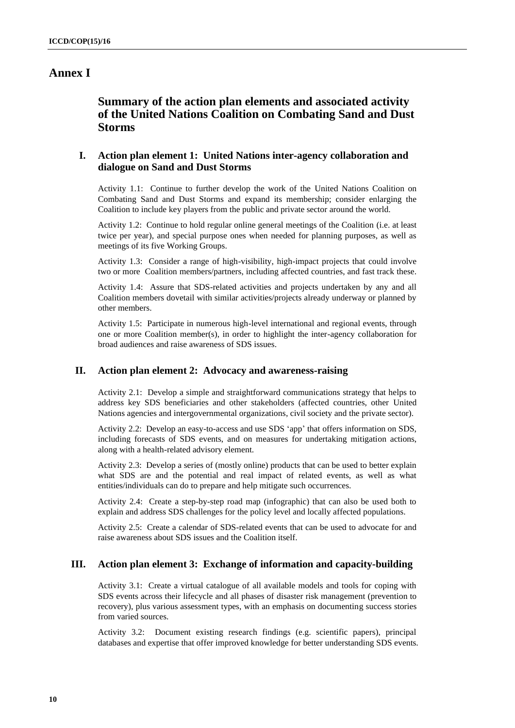# **Annex I**

# **Summary of the action plan elements and associated activity of the United Nations Coalition on Combating Sand and Dust Storms**

## **I. Action plan element 1: United Nations inter-agency collaboration and dialogue on Sand and Dust Storms**

Activity 1.1: Continue to further develop the work of the United Nations Coalition on Combating Sand and Dust Storms and expand its membership; consider enlarging the Coalition to include key players from the public and private sector around the world.

Activity 1.2: Continue to hold regular online general meetings of the Coalition (i.e. at least twice per year), and special purpose ones when needed for planning purposes, as well as meetings of its five Working Groups.

Activity 1.3: Consider a range of high-visibility, high-impact projects that could involve two or more Coalition members/partners, including affected countries, and fast track these.

Activity 1.4: Assure that SDS-related activities and projects undertaken by any and all Coalition members dovetail with similar activities/projects already underway or planned by other members.

Activity 1.5: Participate in numerous high-level international and regional events, through one or more Coalition member(s), in order to highlight the inter-agency collaboration for broad audiences and raise awareness of SDS issues.

## **II. Action plan element 2: Advocacy and awareness-raising**

Activity 2.1: Develop a simple and straightforward communications strategy that helps to address key SDS beneficiaries and other stakeholders (affected countries, other United Nations agencies and intergovernmental organizations, civil society and the private sector).

Activity 2.2: Develop an easy-to-access and use SDS 'app' that offers information on SDS, including forecasts of SDS events, and on measures for undertaking mitigation actions, along with a health-related advisory element.

Activity 2.3: Develop a series of (mostly online) products that can be used to better explain what SDS are and the potential and real impact of related events, as well as what entities/individuals can do to prepare and help mitigate such occurrences.

Activity 2.4: Create a step-by-step road map (infographic) that can also be used both to explain and address SDS challenges for the policy level and locally affected populations.

Activity 2.5: Create a calendar of SDS-related events that can be used to advocate for and raise awareness about SDS issues and the Coalition itself.

## **III. Action plan element 3: Exchange of information and capacity-building**

Activity 3.1: Create a virtual catalogue of all available models and tools for coping with SDS events across their lifecycle and all phases of disaster risk management (prevention to recovery), plus various assessment types, with an emphasis on documenting success stories from varied sources.

Activity 3.2: Document existing research findings (e.g. scientific papers), principal databases and expertise that offer improved knowledge for better understanding SDS events.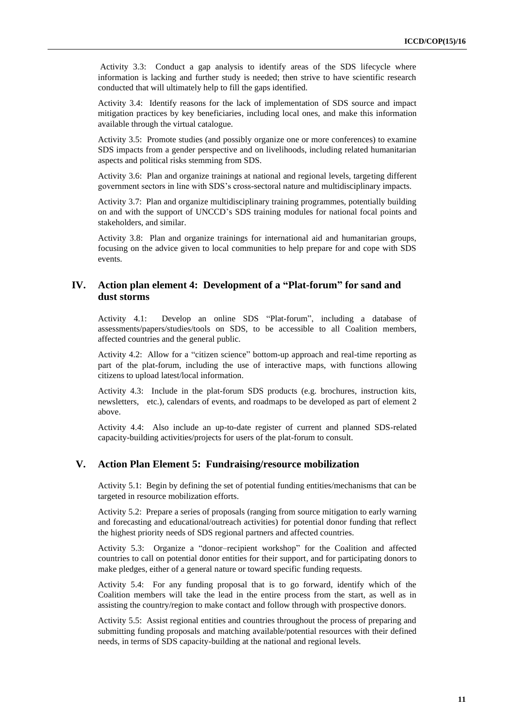Activity 3.3: Conduct a gap analysis to identify areas of the SDS lifecycle where information is lacking and further study is needed; then strive to have scientific research conducted that will ultimately help to fill the gaps identified.

Activity 3.4: Identify reasons for the lack of implementation of SDS source and impact mitigation practices by key beneficiaries, including local ones, and make this information available through the virtual catalogue.

Activity 3.5: Promote studies (and possibly organize one or more conferences) to examine SDS impacts from a gender perspective and on livelihoods, including related humanitarian aspects and political risks stemming from SDS.

Activity 3.6: Plan and organize trainings at national and regional levels, targeting different government sectors in line with SDS's cross-sectoral nature and multidisciplinary impacts.

Activity 3.7: Plan and organize multidisciplinary training programmes, potentially building on and with the support of UNCCD's SDS training modules for national focal points and stakeholders, and similar.

Activity 3.8: Plan and organize trainings for international aid and humanitarian groups, focusing on the advice given to local communities to help prepare for and cope with SDS events.

## **IV. Action plan element 4: Development of a "Plat-forum" for sand and dust storms**

Activity 4.1: Develop an online SDS "Plat-forum", including a database of assessments/papers/studies/tools on SDS, to be accessible to all Coalition members, affected countries and the general public.

Activity 4.2: Allow for a "citizen science" bottom-up approach and real-time reporting as part of the plat-forum, including the use of interactive maps, with functions allowing citizens to upload latest/local information.

Activity 4.3: Include in the plat-forum SDS products (e.g. brochures, instruction kits, newsletters, etc.), calendars of events, and roadmaps to be developed as part of element 2 above.

Activity 4.4: Also include an up-to-date register of current and planned SDS-related capacity-building activities/projects for users of the plat-forum to consult.

#### **V. Action Plan Element 5: Fundraising/resource mobilization**

Activity 5.1: Begin by defining the set of potential funding entities/mechanisms that can be targeted in resource mobilization efforts.

Activity 5.2: Prepare a series of proposals (ranging from source mitigation to early warning and forecasting and educational/outreach activities) for potential donor funding that reflect the highest priority needs of SDS regional partners and affected countries.

Activity 5.3: Organize a "donor–recipient workshop" for the Coalition and affected countries to call on potential donor entities for their support, and for participating donors to make pledges, either of a general nature or toward specific funding requests.

Activity 5.4: For any funding proposal that is to go forward, identify which of the Coalition members will take the lead in the entire process from the start, as well as in assisting the country/region to make contact and follow through with prospective donors.

Activity 5.5: Assist regional entities and countries throughout the process of preparing and submitting funding proposals and matching available/potential resources with their defined needs, in terms of SDS capacity-building at the national and regional levels.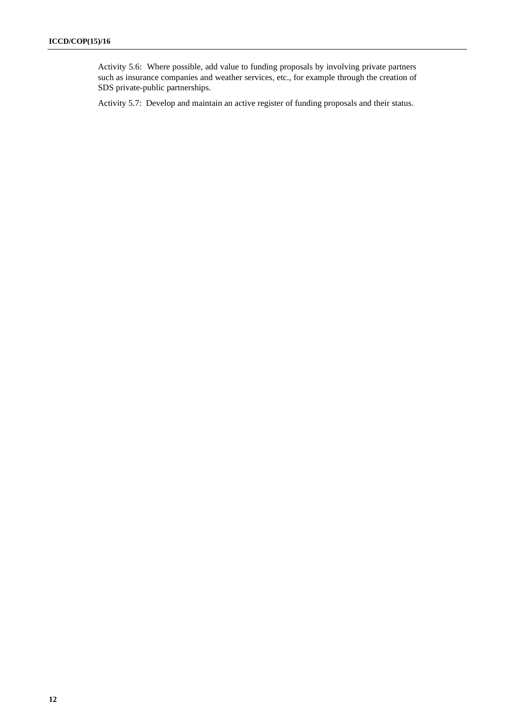Activity 5.6: Where possible, add value to funding proposals by involving private partners such as insurance companies and weather services, etc., for example through the creation of SDS private-public partnerships.

Activity 5.7: Develop and maintain an active register of funding proposals and their status.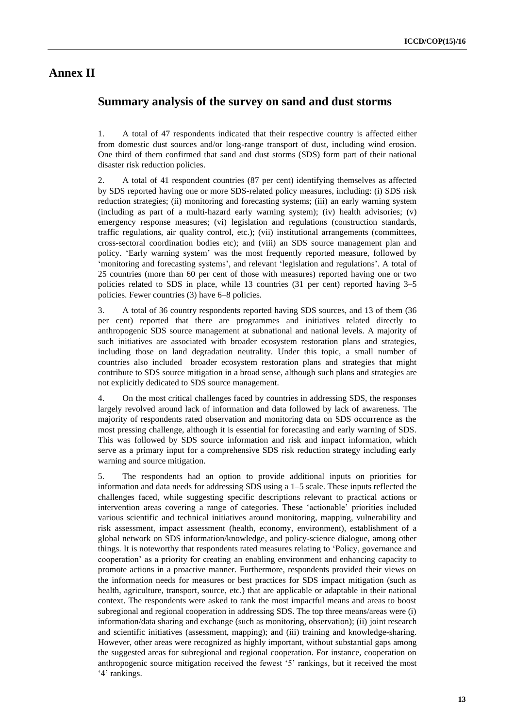# **Annex II**

## **Summary analysis of the survey on sand and dust storms**

1. A total of 47 respondents indicated that their respective country is affected either from domestic dust sources and/or long-range transport of dust, including wind erosion. One third of them confirmed that sand and dust storms (SDS) form part of their national disaster risk reduction policies.

2. A total of 41 respondent countries (87 per cent) identifying themselves as affected by SDS reported having one or more SDS-related policy measures, including: (i) SDS risk reduction strategies; (ii) monitoring and forecasting systems; (iii) an early warning system (including as part of a multi-hazard early warning system); (iv) health advisories; (v) emergency response measures; (vi) legislation and regulations (construction standards, traffic regulations, air quality control, etc.); (vii) institutional arrangements (committees, cross-sectoral coordination bodies etc); and (viii) an SDS source management plan and policy. 'Early warning system' was the most frequently reported measure, followed by 'monitoring and forecasting systems', and relevant 'legislation and regulations'. A total of 25 countries (more than 60 per cent of those with measures) reported having one or two policies related to SDS in place, while 13 countries (31 per cent) reported having 3–5 policies. Fewer countries (3) have 6–8 policies.

3. A total of 36 country respondents reported having SDS sources, and 13 of them (36 per cent) reported that there are programmes and initiatives related directly to anthropogenic SDS source management at subnational and national levels. A majority of such initiatives are associated with broader ecosystem restoration plans and strategies, including those on land degradation neutrality. Under this topic, a small number of countries also included broader ecosystem restoration plans and strategies that might contribute to SDS source mitigation in a broad sense, although such plans and strategies are not explicitly dedicated to SDS source management.

4. On the most critical challenges faced by countries in addressing SDS, the responses largely revolved around lack of information and data followed by lack of awareness. The majority of respondents rated observation and monitoring data on SDS occurrence as the most pressing challenge, although it is essential for forecasting and early warning of SDS. This was followed by SDS source information and risk and impact information, which serve as a primary input for a comprehensive SDS risk reduction strategy including early warning and source mitigation.

5. The respondents had an option to provide additional inputs on priorities for information and data needs for addressing SDS using a 1–5 scale. These inputs reflected the challenges faced, while suggesting specific descriptions relevant to practical actions or intervention areas covering a range of categories. These 'actionable' priorities included various scientific and technical initiatives around monitoring, mapping, vulnerability and risk assessment, impact assessment (health, economy, environment), establishment of a global network on SDS information/knowledge, and policy-science dialogue, among other things. It is noteworthy that respondents rated measures relating to 'Policy, governance and cooperation' as a priority for creating an enabling environment and enhancing capacity to promote actions in a proactive manner. Furthermore, respondents provided their views on the information needs for measures or best practices for SDS impact mitigation (such as health, agriculture, transport, source, etc.) that are applicable or adaptable in their national context. The respondents were asked to rank the most impactful means and areas to boost subregional and regional cooperation in addressing SDS. The top three means/areas were (i) information/data sharing and exchange (such as monitoring, observation); (ii) joint research and scientific initiatives (assessment, mapping); and (iii) training and knowledge-sharing. However, other areas were recognized as highly important, without substantial gaps among the suggested areas for subregional and regional cooperation. For instance, cooperation on anthropogenic source mitigation received the fewest '5' rankings, but it received the most '4' rankings.